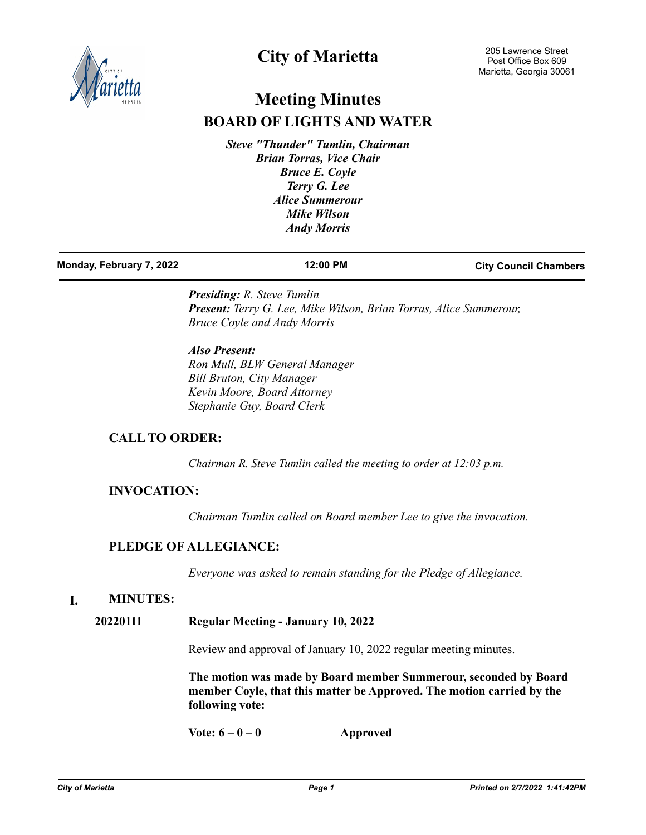

# **City of Marietta**

# **Meeting Minutes BOARD OF LIGHTS AND WATER**

*Steve "Thunder" Tumlin, Chairman Brian Torras, Vice Chair Bruce E. Coyle Terry G. Lee Alice Summerour Mike Wilson Andy Morris*

| Monday, February 7, 2022 | 12:00 PM | <b>City Council Chambers</b> |
|--------------------------|----------|------------------------------|
|                          |          |                              |

*Presiding: R. Steve Tumlin Present: Terry G. Lee, Mike Wilson, Brian Torras, Alice Summerour, Bruce Coyle and Andy Morris*

*Also Present: Ron Mull, BLW General Manager Bill Bruton, City Manager Kevin Moore, Board Attorney Stephanie Guy, Board Clerk*

# **CALL TO ORDER:**

*Chairman R. Steve Tumlin called the meeting to order at 12:03 p.m.*

# **INVOCATION:**

*Chairman Tumlin called on Board member Lee to give the invocation.*

# **PLEDGE OF ALLEGIANCE:**

*Everyone was asked to remain standing for the Pledge of Allegiance.*

# **I. MINUTES:**

**20220111 Regular Meeting - January 10, 2022**

Review and approval of January 10, 2022 regular meeting minutes.

**The motion was made by Board member Summerour, seconded by Board member Coyle, that this matter be Approved. The motion carried by the following vote:**

**Vote: 6 – 0 – 0 Approved**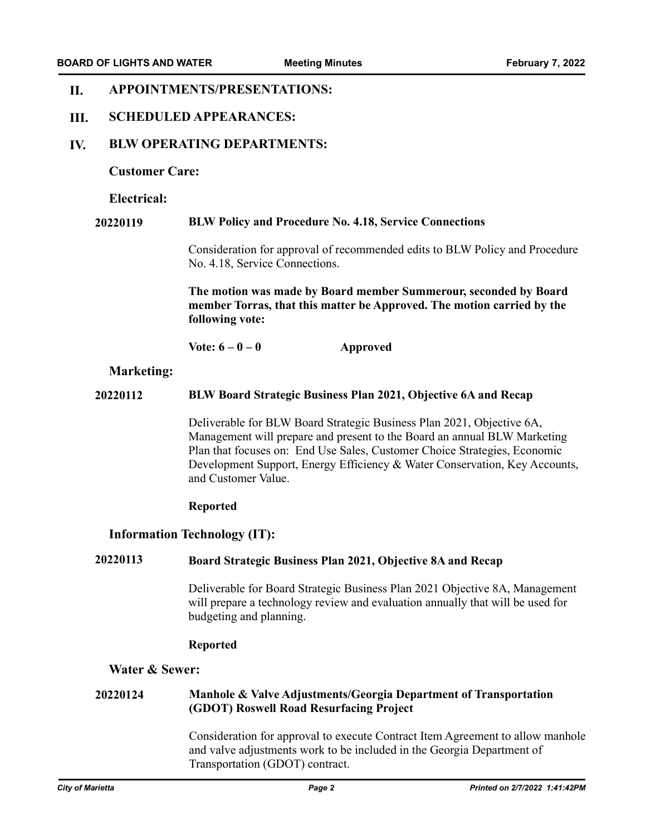### **APPOINTMENTS/PRESENTATIONS: II.**

### **SCHEDULED APPEARANCES: III.**

### **BLW OPERATING DEPARTMENTS: IV.**

### **Customer Care:**

### **Electrical:**

### **20220119 BLW Policy and Procedure No. 4.18, Service Connections**

Consideration for approval of recommended edits to BLW Policy and Procedure No. 4.18, Service Connections.

**The motion was made by Board member Summerour, seconded by Board member Torras, that this matter be Approved. The motion carried by the following vote:**

**Vote: 6 – 0 – 0 Approved**

### **Marketing:**

### **20220112 BLW Board Strategic Business Plan 2021, Objective 6A and Recap**

Deliverable for BLW Board Strategic Business Plan 2021, Objective 6A, Management will prepare and present to the Board an annual BLW Marketing Plan that focuses on: End Use Sales, Customer Choice Strategies, Economic Development Support, Energy Efficiency & Water Conservation, Key Accounts, and Customer Value.

### **Reported**

## **Information Technology (IT):**

### **20220113 Board Strategic Business Plan 2021, Objective 8A and Recap**

Deliverable for Board Strategic Business Plan 2021 Objective 8A, Management will prepare a technology review and evaluation annually that will be used for budgeting and planning.

### **Reported**

# **Water & Sewer:**

### **Manhole & Valve Adjustments/Georgia Department of Transportation (GDOT) Roswell Road Resurfacing Project 20220124**

Consideration for approval to execute Contract Item Agreement to allow manhole and valve adjustments work to be included in the Georgia Department of Transportation (GDOT) contract.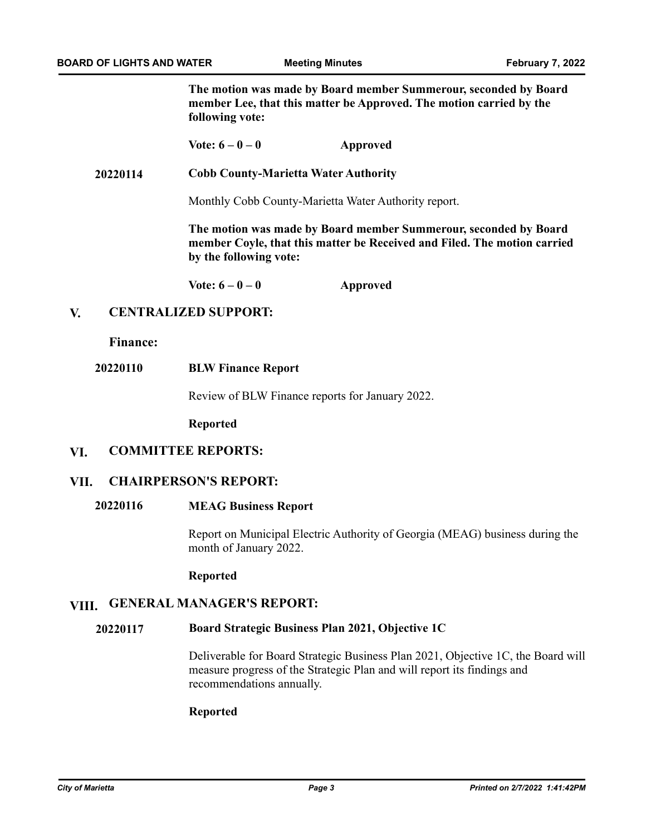**The motion was made by Board member Summerour, seconded by Board member Lee, that this matter be Approved. The motion carried by the following vote:**

**Vote: 6 – 0 – 0 Approved**

**20220114 Cobb County-Marietta Water Authority**

Monthly Cobb County-Marietta Water Authority report.

**The motion was made by Board member Summerour, seconded by Board member Coyle, that this matter be Received and Filed. The motion carried by the following vote:**

**Vote: 6 – 0 – 0 Approved**

### **CENTRALIZED SUPPORT: V.**

**Finance:**

### **20220110 BLW Finance Report**

Review of BLW Finance reports for January 2022.

**Reported**

### **COMMITTEE REPORTS: VI.**

### **CHAIRPERSON'S REPORT: VII.**

# **20220116 MEAG Business Report**

Report on Municipal Electric Authority of Georgia (MEAG) business during the month of January 2022.

**Reported**

# **VIII. GENERAL MANAGER'S REPORT:**

### **Board Strategic Business Plan 2021, Objective 1C 20220117**

Deliverable for Board Strategic Business Plan 2021, Objective 1C, the Board will measure progress of the Strategic Plan and will report its findings and recommendations annually.

### **Reported**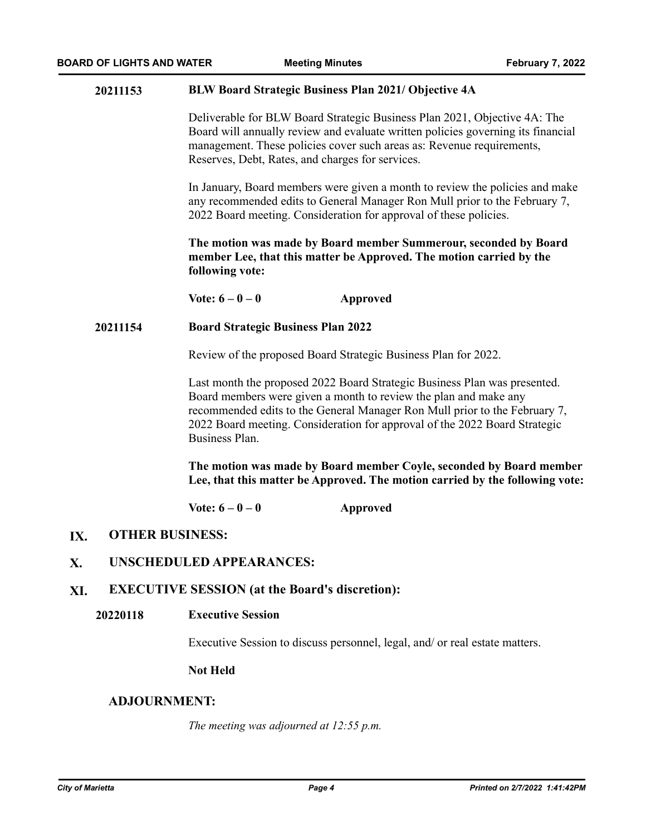### **20211153 BLW Board Strategic Business Plan 2021/ Objective 4A**

Deliverable for BLW Board Strategic Business Plan 2021, Objective 4A: The Board will annually review and evaluate written policies governing its financial management. These policies cover such areas as: Revenue requirements, Reserves, Debt, Rates, and charges for services.

In January, Board members were given a month to review the policies and make any recommended edits to General Manager Ron Mull prior to the February 7, 2022 Board meeting. Consideration for approval of these policies.

**The motion was made by Board member Summerour, seconded by Board member Lee, that this matter be Approved. The motion carried by the following vote:**

**Vote: 6 – 0 – 0 Approved**

### **20211154 Board Strategic Business Plan 2022**

Review of the proposed Board Strategic Business Plan for 2022.

Last month the proposed 2022 Board Strategic Business Plan was presented. Board members were given a month to review the plan and make any recommended edits to the General Manager Ron Mull prior to the February 7, 2022 Board meeting. Consideration for approval of the 2022 Board Strategic Business Plan.

**The motion was made by Board member Coyle, seconded by Board member Lee, that this matter be Approved. The motion carried by the following vote:**

**Vote: 6 – 0 – 0 Approved**

### **OTHER BUSINESS: IX.**

### **UNSCHEDULED APPEARANCES: X.**

### **EXECUTIVE SESSION (at the Board's discretion): XI.**

**Executive Session 20220118**

Executive Session to discuss personnel, legal, and/ or real estate matters.

# **Not Held**

# **ADJOURNMENT:**

*The meeting was adjourned at 12:55 p.m.*